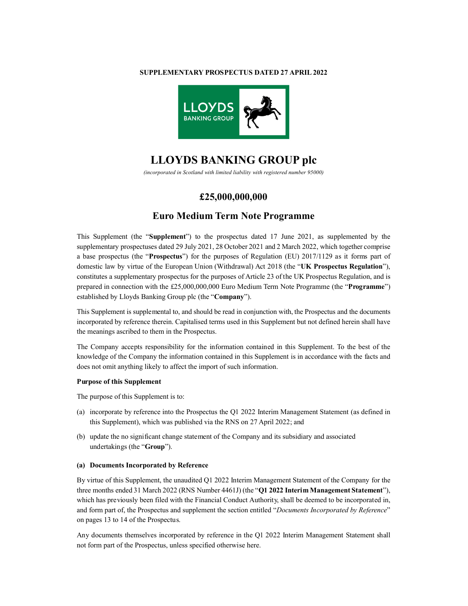### **SUPPLEMENTARY PROSPECTUS DATED 27 APRIL 2022**



# **LLOYDS BANKING GROUP plc**

*(incorporated in Scotland with limited liability with registered number 95000)*

### **£25,000,000,000**

## **Euro Medium Term Note Programme**

This Supplement (the "**Supplement**") to the prospectus dated 17 June 2021, as supplemented by the supplementary prospectuses dated 29 July 2021, 28 October 2021 and 2 March 2022, which together comprise a base prospectus (the "**Prospectus**") for the purposes of Regulation (EU) 2017/1129 as it forms part of domestic law by virtue of the European Union (Withdrawal) Act 2018 (the "**UK Prospectus Regulation**"), constitutes a supplementary prospectus for the purposes of Article 23 of the UK Prospectus Regulation, and is prepared in connection with the £25,000,000,000 Euro Medium Term Note Programme (the "**Programme**") established by Lloyds Banking Group plc (the "**Company**").

This Supplement is supplemental to, and should be read in conjunction with, the Prospectus and the documents incorporated by reference therein. Capitalised terms used in this Supplement but not defined herein shall have the meanings ascribed to them in the Prospectus.

The Company accepts responsibility for the information contained in this Supplement. To the best of the knowledge of the Company the information contained in this Supplement is in accordance with the facts and does not omit anything likely to affect the import of such information.

### **Purpose of this Supplement**

The purpose of this Supplement is to:

- (a) incorporate by reference into the Prospectus the Q1 2022 Interim Management Statement (as defined in this Supplement), which was published via the RNS on 27 April 2022; and
- (b) update the no significant change statement of the Company and its subsidiary and associated undertakings (the "**Group**").

### **(a) Documents Incorporated by Reference**

By virtue of this Supplement, the unaudited Q1 2022 Interim Management Statement of the Company for the three months ended 31 March 2022 (RNS Number 4461J) (the "**Q1 2022 Interim Management Statement**"), which has previously been filed with the Financial Conduct Authority, shall be deemed to be incorporated in, and form part of, the Prospectus and supplement the section entitled "*Documents Incorporated by Reference*" on pages 13 to 14 of the Prospectus.

Any documents themselves incorporated by reference in the Q1 2022 Interim Management Statement shall not form part of the Prospectus, unless specified otherwise here.